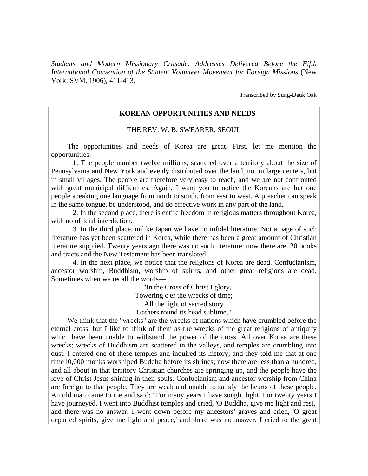*Students and Modern Missionary Crusade*: *Addresses Delivered Before the Fifth International Convention of the Student Volunteer Movement for Foreign Missions* (New York: SVM, 1906), 411-413.

Transcribed by Sung-Deuk Oak

## **KOREAN OPPORTUNITIES AND NEEDS**

THE REV. W. B. SWEARER, SEOUL

The opportunities and needs of Korea are great. First, let me mention the opportunities.

 1. The people number twelve millions, scattered over a territory about the size of Pennsylvania and New York and evenly distributed over the land, not in large centers, but in small villages. The people are therefore very easy to reach, and we are not confronted with great municipal difficulties. Again, I want you to notice the Koreans are but one people speaking one language from north to south, from east to west. A preacher can speak in the same tongue, be understood, and do effective work in any part of the land.

2. In the second place, there is entire freedom in religious matters throughout Korea, with no official interdiction.

3. In the third place, unlike Japan we have no infidel literature. Not a page of such literature has yet been scattered in Korea, while there has been a great amount of Christian literature supplied. Twenty years ago there was no such literature; now there are i20 books and tracts and the New Testament has been translated.

4. In the next place, we notice that the religions of Korea are dead. Confucianism, ancestor worship, Buddhism, worship of spirits, and other great religions are dead. Sometimes when we recall the words—

> "In the Cross of Christ I glory, Towering o'er the wrecks of time; All the light of sacred story Gathers round its head sublime,"

We think that the "wrecks" are the wrecks of nations which have crumbled before the eternal cross; but I like to think of them as the wrecks of the great religions of antiquity which have been unable to withstand the power of the cross. All over Korea are these wrecks; wrecks of Buddhism are scattered in the valleys, and temples are crumbling into dust. I entered one of these temples and inquired its history, and they told me that at one time i0,000 monks worshiped Buddha before its shrines; now there are less than a hundred, and all about in that territory Christian churches are springing up, and the people have the love of Christ Jesus shining in their souls. Confucianism and ancestor worship from China are foreign to that people. They are weak and unable to satisfy the hearts of these people. An old man came to me and said: "For many years I have sought light. For twenty years I have journeyed. I went into Buddhist temples and cried, 'O Buddha, give me light and rest,' and there was no answer. I went down before my ancestors' graves and cried, 'O great departed spirits, give me light and peace,' and there was no answer. I cried to the great